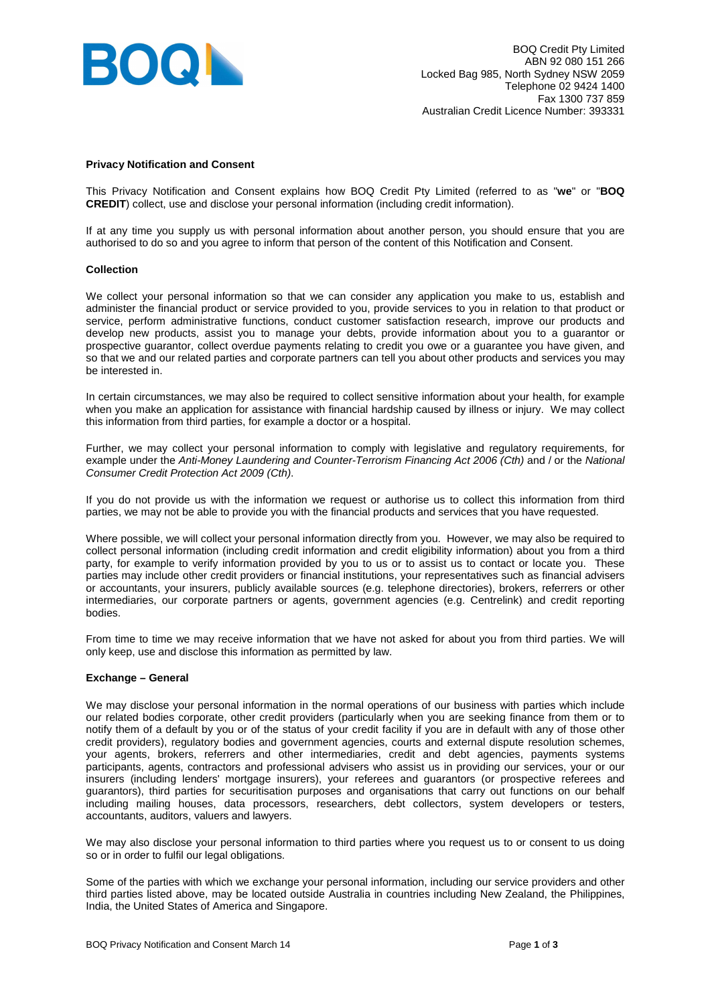

#### **Privacy Notification and Consent**

This Privacy Notification and Consent explains how BOQ Credit Pty Limited (referred to as "**we**" or "**BOQ CREDIT**) collect, use and disclose your personal information (including credit information).

If at any time you supply us with personal information about another person, you should ensure that you are authorised to do so and you agree to inform that person of the content of this Notification and Consent.

#### **Collection**

We collect your personal information so that we can consider any application you make to us, establish and administer the financial product or service provided to you, provide services to you in relation to that product or service, perform administrative functions, conduct customer satisfaction research, improve our products and develop new products, assist you to manage your debts, provide information about you to a guarantor or prospective guarantor, collect overdue payments relating to credit you owe or a guarantee you have given, and so that we and our related parties and corporate partners can tell you about other products and services you may be interested in.

In certain circumstances, we may also be required to collect sensitive information about your health, for example when you make an application for assistance with financial hardship caused by illness or injury. We may collect this information from third parties, for example a doctor or a hospital.

Further, we may collect your personal information to comply with legislative and regulatory requirements, for example under the Anti-Money Laundering and Counter-Terrorism Financing Act 2006 (Cth) and / or the National Consumer Credit Protection Act 2009 (Cth).

If you do not provide us with the information we request or authorise us to collect this information from third parties, we may not be able to provide you with the financial products and services that you have requested.

Where possible, we will collect your personal information directly from you. However, we may also be required to collect personal information (including credit information and credit eligibility information) about you from a third party, for example to verify information provided by you to us or to assist us to contact or locate you. These parties may include other credit providers or financial institutions, your representatives such as financial advisers or accountants, your insurers, publicly available sources (e.g. telephone directories), brokers, referrers or other intermediaries, our corporate partners or agents, government agencies (e.g. Centrelink) and credit reporting bodies.

From time to time we may receive information that we have not asked for about you from third parties. We will only keep, use and disclose this information as permitted by law.

## **Exchange – General**

We may disclose your personal information in the normal operations of our business with parties which include our related bodies corporate, other credit providers (particularly when you are seeking finance from them or to notify them of a default by you or of the status of your credit facility if you are in default with any of those other credit providers), regulatory bodies and government agencies, courts and external dispute resolution schemes, your agents, brokers, referrers and other intermediaries, credit and debt agencies, payments systems participants, agents, contractors and professional advisers who assist us in providing our services, your or our insurers (including lenders' mortgage insurers), your referees and guarantors (or prospective referees and guarantors), third parties for securitisation purposes and organisations that carry out functions on our behalf including mailing houses, data processors, researchers, debt collectors, system developers or testers, accountants, auditors, valuers and lawyers.

We may also disclose your personal information to third parties where you request us to or consent to us doing so or in order to fulfil our legal obligations.

Some of the parties with which we exchange your personal information, including our service providers and other third parties listed above, may be located outside Australia in countries including New Zealand, the Philippines, India, the United States of America and Singapore.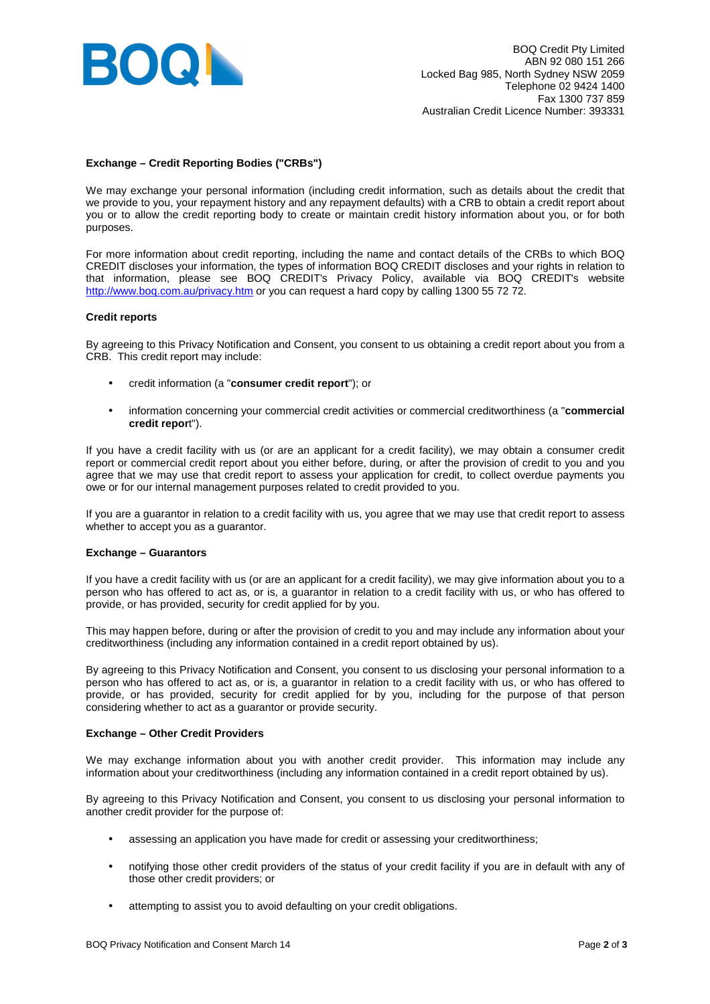

# **Exchange – Credit Reporting Bodies ("CRBs")**

We may exchange your personal information (including credit information, such as details about the credit that we provide to you, your repayment history and any repayment defaults) with a CRB to obtain a credit report about you or to allow the credit reporting body to create or maintain credit history information about you, or for both purposes.

For more information about credit reporting, including the name and contact details of the CRBs to which BOQ CREDIT discloses your information, the types of information BOQ CREDIT discloses and your rights in relation to that information, please see BOQ CREDIT's Privacy Policy, available via BOQ CREDIT's website http://www.boq.com.au/privacy.htm or you can request a hard copy by calling 1300 55 72 72.

## **Credit reports**

By agreeing to this Privacy Notification and Consent, you consent to us obtaining a credit report about you from a CRB. This credit report may include:

- credit information (a "**consumer credit report**"); or
- information concerning your commercial credit activities or commercial creditworthiness (a "**commercial credit repor**t").

If you have a credit facility with us (or are an applicant for a credit facility), we may obtain a consumer credit report or commercial credit report about you either before, during, or after the provision of credit to you and you agree that we may use that credit report to assess your application for credit, to collect overdue payments you owe or for our internal management purposes related to credit provided to you.

If you are a guarantor in relation to a credit facility with us, you agree that we may use that credit report to assess whether to accept you as a guarantor.

## **Exchange – Guarantors**

If you have a credit facility with us (or are an applicant for a credit facility), we may give information about you to a person who has offered to act as, or is, a guarantor in relation to a credit facility with us, or who has offered to provide, or has provided, security for credit applied for by you.

This may happen before, during or after the provision of credit to you and may include any information about your creditworthiness (including any information contained in a credit report obtained by us).

By agreeing to this Privacy Notification and Consent, you consent to us disclosing your personal information to a person who has offered to act as, or is, a guarantor in relation to a credit facility with us, or who has offered to provide, or has provided, security for credit applied for by you, including for the purpose of that person considering whether to act as a guarantor or provide security.

## **Exchange – Other Credit Providers**

We may exchange information about you with another credit provider. This information may include any information about your creditworthiness (including any information contained in a credit report obtained by us).

By agreeing to this Privacy Notification and Consent, you consent to us disclosing your personal information to another credit provider for the purpose of:

- assessing an application you have made for credit or assessing your creditworthiness;
- notifying those other credit providers of the status of your credit facility if you are in default with any of those other credit providers; or
- attempting to assist you to avoid defaulting on your credit obligations.